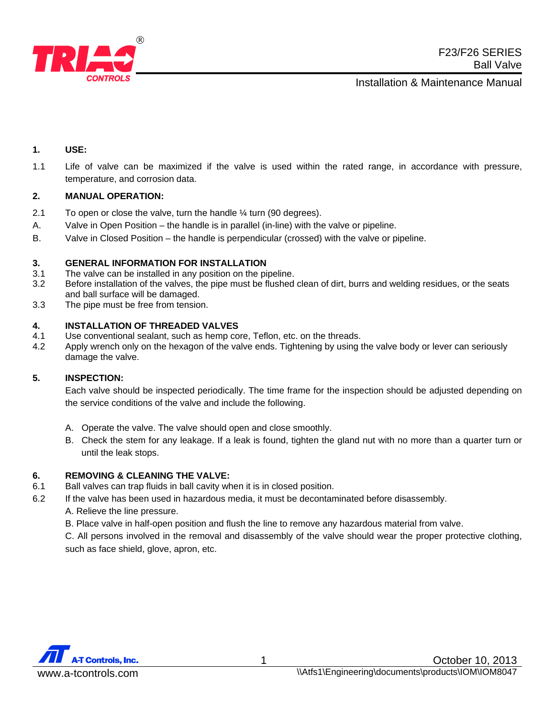

## **1. USE:**

1.1 Life of valve can be maximized if the valve is used within the rated range, in accordance with pressure, temperature, and corrosion data.

### **2. MANUAL OPERATION:**

- 2.1 To open or close the valve, turn the handle ¼ turn (90 degrees).
- A. Valve in Open Position the handle is in parallel (in-line) with the valve or pipeline.
- B. Valve in Closed Position the handle is perpendicular (crossed) with the valve or pipeline.

### **3. GENERAL INFORMATION FOR INSTALLATION**

- 3.1 The valve can be installed in any position on the pipeline.
- 3.2 Before installation of the valves, the pipe must be flushed clean of dirt, burrs and welding residues, or the seats and ball surface will be damaged.
- 3.3 The pipe must be free from tension.

### **4. INSTALLATION OF THREADED VALVES**

- 4.1 Use conventional sealant, such as hemp core, Teflon, etc. on the threads.
- 4.2 Apply wrench only on the hexagon of the valve ends. Tightening by using the valve body or lever can seriously damage the valve.

### **5. INSPECTION:**

Each valve should be inspected periodically. The time frame for the inspection should be adjusted depending on the service conditions of the valve and include the following.

- A. Operate the valve. The valve should open and close smoothly.
- B. Check the stem for any leakage. If a leak is found, tighten the gland nut with no more than a quarter turn or until the leak stops.

### **6. REMOVING & CLEANING THE VALVE:**

- 6.1 Ball valves can trap fluids in ball cavity when it is in closed position.
- 6.2 If the valve has been used in hazardous media, it must be decontaminated before disassembly.
	- A. Relieve the line pressure.
	- B. Place valve in half-open position and flush the line to remove any hazardous material from valve.

C. All persons involved in the removal and disassembly of the valve should wear the proper protective clothing, such as face shield, glove, apron, etc.